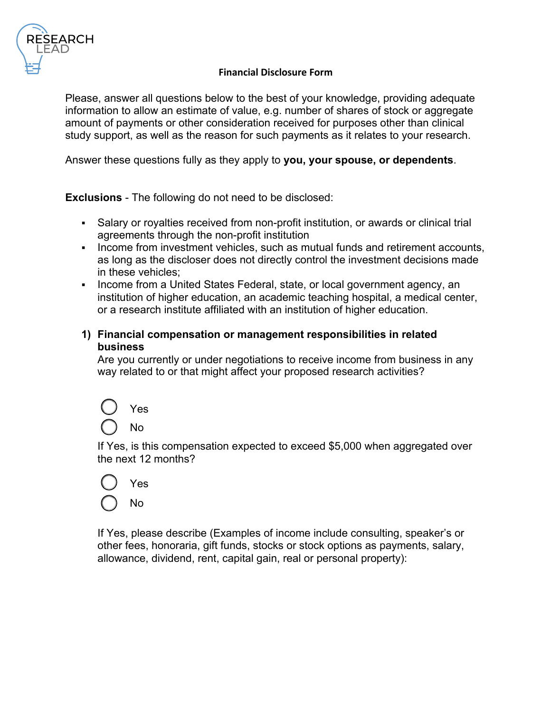

#### **Financial Disclosure Form**

Please, answer all questions below to the best of your knowledge, providing adequate information to allow an estimate of value, e.g. number of shares of stock or aggregate amount of payments or other consideration received for purposes other than clinical study support, as well as the reason for such payments as it relates to your research.

Answer these questions fully as they apply to **you, your spouse, or dependents**.

**Exclusions** - The following do not need to be disclosed:

- Salary or royalties received from non-profit institution, or awards or clinical trial agreements through the non-profit institution
- Income from investment vehicles, such as mutual funds and retirement accounts, as long as the discloser does not directly control the investment decisions made in these vehicles;
- Income from a United States Federal, state, or local government agency, an institution of higher education, an academic teaching hospital, a medical center, or a research institute affiliated with an institution of higher education.
- **1) Financial compensation or management responsibilities in related business**

Are you currently or under negotiations to receive income from business in any way related to or that might affect your proposed research activities?



If Yes, is this compensation expected to exceed \$5,000 when aggregated over the next 12 months?



If Yes, please describe (Examples of income include consulting, speaker's or other fees, honoraria, gift funds, stocks or stock options as payments, salary, allowance, dividend, rent, capital gain, real or personal property):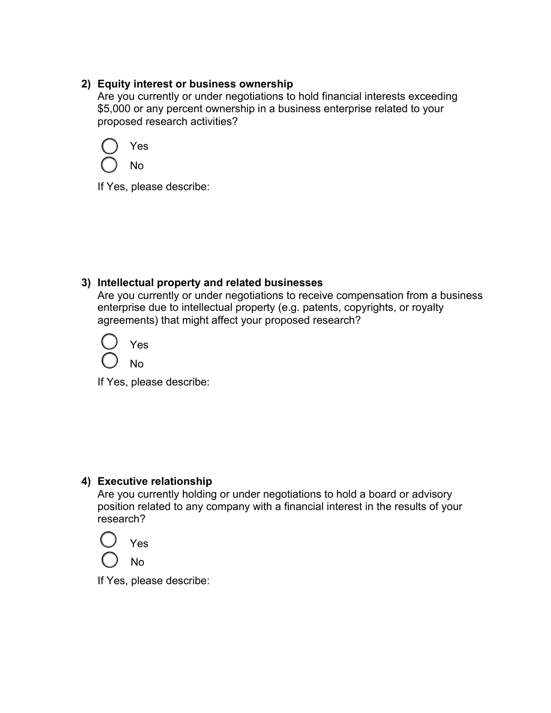## **2) Equity interest or business ownership**

Are you currently or under negotiations to hold financial interests exceeding \$5,000 or any percent ownership in a business enterprise related to your proposed research activities?



If Yes, please describe:

# **3) Intellectual property and related businesses**

Are you currently or under negotiations to receive compensation from a business enterprise due to intellectual property (e.g. patents, copyrights, or royalty agreements) that might affect your proposed research?



If Yes, please describe:

# **4) Executive relationship**

Are you currently holding or under negotiations to hold a board or advisory position related to any company with a financial interest in the results of your research?

Yes No

If Yes, please describe: